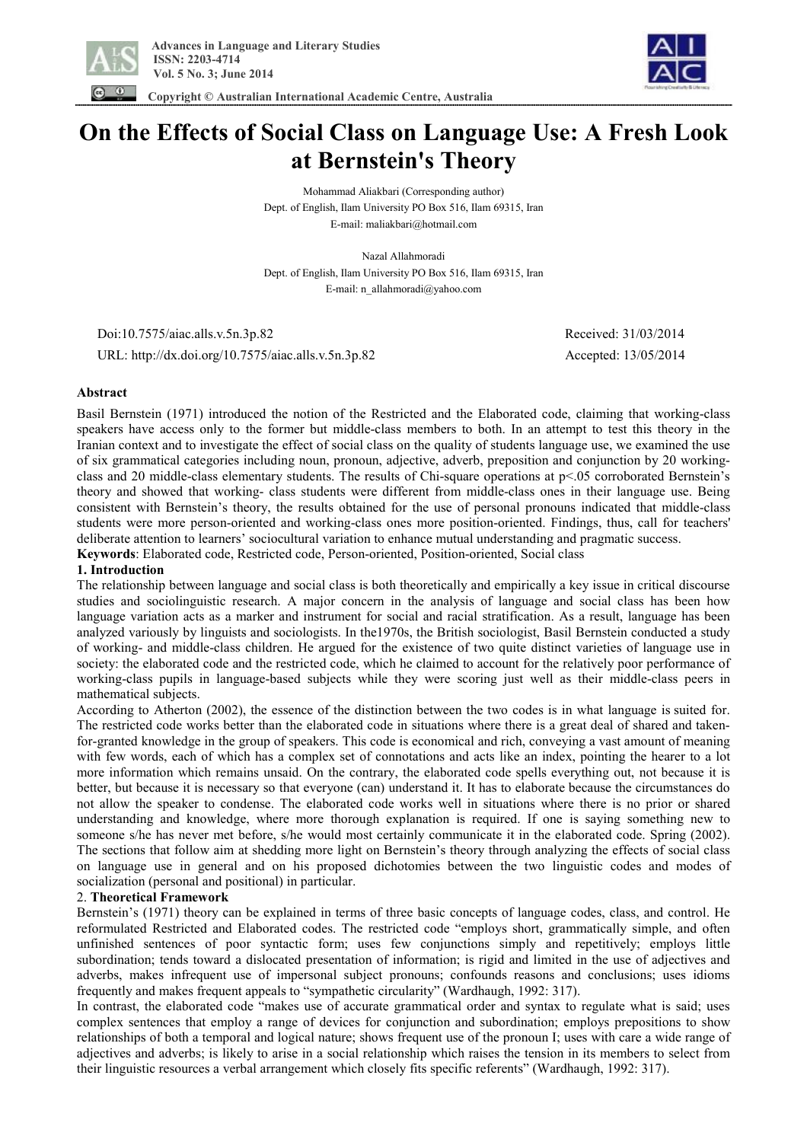



 **Copyright © Australian International Academic Centre, Australia** 

# **On the Effects of Social Class on Language Use: A Fresh Look at Bernstein's Theory**

Mohammad Aliakbari (Corresponding author) Dept. of English, Ilam University PO Box 516, Ilam 69315, Iran E-mail: maliakbari@hotmail.com

Nazal Allahmoradi Dept. of English, Ilam University PO Box 516, Ilam 69315, Iran E-mail: n\_allahmoradi@yahoo.com

 Doi:10.7575/aiac.alls.v.5n.3p.82 Received: 31/03/2014 URL: http://dx.doi.org/10.7575/aiac.alls.v.5n.3p.82 Accepted: 13/05/2014

# **Abstract**

Basil Bernstein (1971) introduced the notion of the Restricted and the Elaborated code, claiming that working-class speakers have access only to the former but middle-class members to both. In an attempt to test this theory in the Iranian context and to investigate the effect of social class on the quality of students language use, we examined the use of six grammatical categories including noun, pronoun, adjective, adverb, preposition and conjunction by 20 workingclass and 20 middle-class elementary students. The results of Chi-square operations at p<.05 corroborated Bernstein's theory and showed that working- class students were different from middle-class ones in their language use. Being consistent with Bernstein's theory, the results obtained for the use of personal pronouns indicated that middle-class students were more person-oriented and working-class ones more position-oriented. Findings, thus, call for teachers' deliberate attention to learners' sociocultural variation to enhance mutual understanding and pragmatic success.

**Keywords**: Elaborated code, Restricted code, Person-oriented, Position-oriented, Social class

# **1. Introduction**

The relationship between language and social class is both theoretically and empirically a key issue in critical discourse studies and sociolinguistic research. A major concern in the analysis of language and social class has been how language variation acts as a marker and instrument for social and racial stratification. As a result, language has been analyzed variously by linguists and sociologists. In the1970s, the British sociologist, Basil Bernstein conducted a study of working- and middle-class children. He argued for the existence of two quite distinct varieties of language use in society: the elaborated code and the restricted code, which he claimed to account for the relatively poor performance of working-class pupils in language-based subjects while they were scoring just well as their middle-class peers in mathematical subjects.

According to Atherton (2002), the essence of the distinction between the two codes is in what language is suited for. The restricted code works better than the elaborated code in situations where there is a great deal of shared and takenfor-granted knowledge in the group of speakers. This code is economical and rich, conveying a vast amount of meaning with few words, each of which has a complex set of connotations and acts like an index, pointing the hearer to a lot more information which remains unsaid. On the contrary, the elaborated code spells everything out, not because it is better, but because it is necessary so that everyone (can) understand it. It has to elaborate because the circumstances do not allow the speaker to condense. The elaborated code works well in situations where there is no prior or shared understanding and knowledge, where more thorough explanation is required. If one is saying something new to someone s/he has never met before, s/he would most certainly communicate it in the elaborated code. Spring (2002). The sections that follow aim at shedding more light on Bernstein's theory through analyzing the effects of social class on language use in general and on his proposed dichotomies between the two linguistic codes and modes of socialization (personal and positional) in particular.

# 2. **Theoretical Framework**

Bernstein's (1971) theory can be explained in terms of three basic concepts of language codes, class, and control. He reformulated Restricted and Elaborated codes. The restricted code "employs short, grammatically simple, and often unfinished sentences of poor syntactic form; uses few conjunctions simply and repetitively; employs little subordination; tends toward a dislocated presentation of information; is rigid and limited in the use of adjectives and adverbs, makes infrequent use of impersonal subject pronouns; confounds reasons and conclusions; uses idioms frequently and makes frequent appeals to "sympathetic circularity" (Wardhaugh, 1992: 317).

In contrast, the elaborated code "makes use of accurate grammatical order and syntax to regulate what is said; uses complex sentences that employ a range of devices for conjunction and subordination; employs prepositions to show relationships of both a temporal and logical nature; shows frequent use of the pronoun I; uses with care a wide range of adjectives and adverbs; is likely to arise in a social relationship which raises the tension in its members to select from their linguistic resources a verbal arrangement which closely fits specific referents" (Wardhaugh, 1992: 317).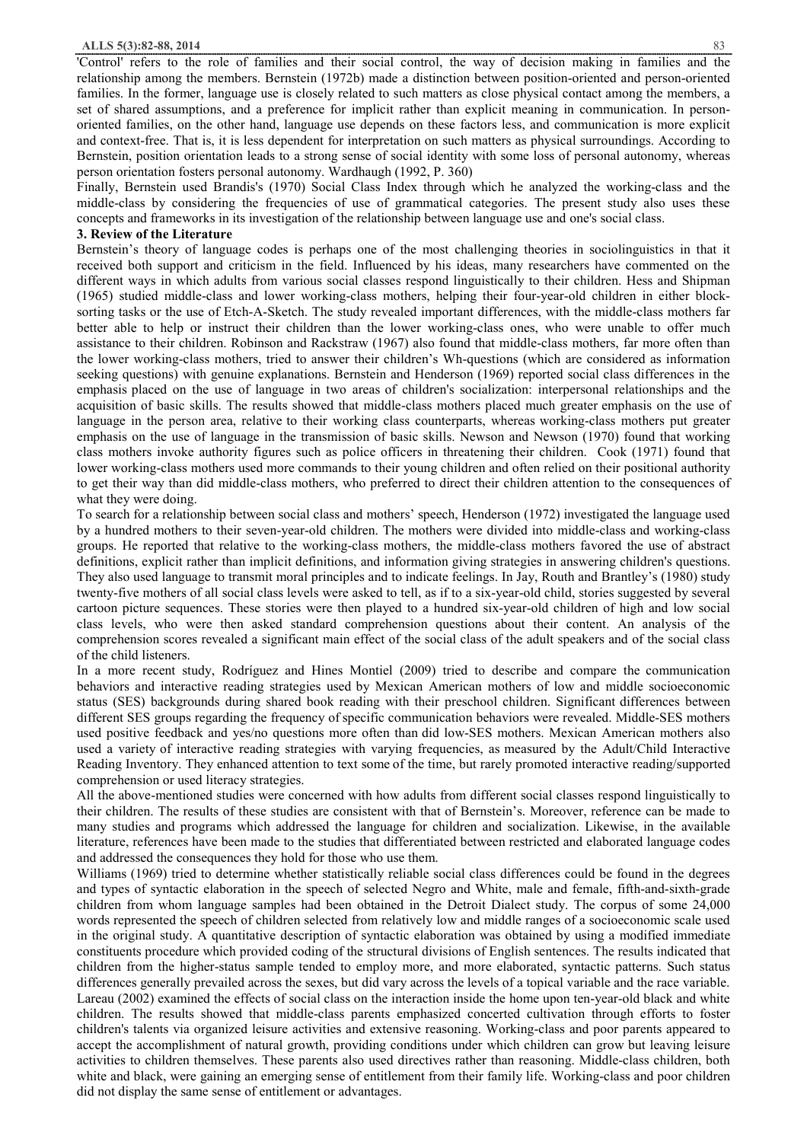#### **ALLS 5(3):82-88, 2014** 83

'Control' refers to the role of families and their social control, the way of decision making in families and the relationship among the members. Bernstein (1972b) made a distinction between position-oriented and person-oriented families. In the former, language use is closely related to such matters as close physical contact among the members, a set of shared assumptions, and a preference for implicit rather than explicit meaning in communication. In personoriented families, on the other hand, language use depends on these factors less, and communication is more explicit and context-free. That is, it is less dependent for interpretation on such matters as physical surroundings. According to Bernstein, position orientation leads to a strong sense of social identity with some loss of personal autonomy, whereas person orientation fosters personal autonomy. Wardhaugh (1992, P. 360)

Finally, Bernstein used Brandis's (1970) Social Class Index through which he analyzed the working-class and the middle-class by considering the frequencies of use of grammatical categories. The present study also uses these concepts and frameworks in its investigation of the relationship between language use and one's social class.

# **3. Review of the Literature**

Bernstein's theory of language codes is perhaps one of the most challenging theories in sociolinguistics in that it received both support and criticism in the field. Influenced by his ideas, many researchers have commented on the different ways in which adults from various social classes respond linguistically to their children. Hess and Shipman (1965) studied middle-class and lower working-class mothers, helping their four-year-old children in either blocksorting tasks or the use of Etch-A-Sketch. The study revealed important differences, with the middle-class mothers far better able to help or instruct their children than the lower working-class ones, who were unable to offer much assistance to their children. Robinson and Rackstraw (1967) also found that middle-class mothers, far more often than the lower working-class mothers, tried to answer their children's Wh-questions (which are considered as information seeking questions) with genuine explanations. Bernstein and Henderson (1969) reported social class differences in the emphasis placed on the use of language in two areas of children's socialization: interpersonal relationships and the acquisition of basic skills. The results showed that middle-class mothers placed much greater emphasis on the use of language in the person area, relative to their working class counterparts, whereas working-class mothers put greater emphasis on the use of language in the transmission of basic skills. Newson and Newson (1970) found that working class mothers invoke authority figures such as police officers in threatening their children. Cook (1971) found that lower working-class mothers used more commands to their young children and often relied on their positional authority to get their way than did middle-class mothers, who preferred to direct their children attention to the consequences of what they were doing.

To search for a relationship between social class and mothers' speech, Henderson (1972) investigated the language used by a hundred mothers to their seven-year-old children. The mothers were divided into middle-class and working-class groups. He reported that relative to the working-class mothers, the middle-class mothers favored the use of abstract definitions, explicit rather than implicit definitions, and information giving strategies in answering children's questions. They also used language to transmit moral principles and to indicate feelings. In Jay, Routh and Brantley's (1980) study twenty-five mothers of all social class levels were asked to tell, as if to a six-year-old child, stories suggested by several cartoon picture sequences. These stories were then played to a hundred six-year-old children of high and low social class levels, who were then asked standard comprehension questions about their content. An analysis of the comprehension scores revealed a significant main effect of the social class of the adult speakers and of the social class of the child listeners.

In a more recent study, Rodríguez and Hines Montiel (2009) tried to describe and compare the communication behaviors and interactive reading strategies used by Mexican American mothers of low and middle socioeconomic status (SES) backgrounds during shared book reading with their preschool children. Significant differences between different SES groups regarding the frequency of specific communication behaviors were revealed. Middle-SES mothers used positive feedback and yes/no questions more often than did low-SES mothers. Mexican American mothers also used a variety of interactive reading strategies with varying frequencies, as measured by the Adult/Child Interactive Reading Inventory. They enhanced attention to text some of the time, but rarely promoted interactive reading/supported comprehension or used literacy strategies.

All the above-mentioned studies were concerned with how adults from different social classes respond linguistically to their children. The results of these studies are consistent with that of Bernstein's. Moreover, reference can be made to many studies and programs which addressed the language for children and socialization. Likewise, in the available literature, references have been made to the studies that differentiated between restricted and elaborated language codes and addressed the consequences they hold for those who use them.

Williams (1969) tried to determine whether statistically reliable social class differences could be found in the degrees and types of syntactic elaboration in the speech of selected Negro and White, male and female, fifth-and-sixth-grade children from whom language samples had been obtained in the Detroit Dialect study. The corpus of some 24,000 words represented the speech of children selected from relatively low and middle ranges of a socioeconomic scale used in the original study. A quantitative description of syntactic elaboration was obtained by using a modified immediate constituents procedure which provided coding of the structural divisions of English sentences. The results indicated that children from the higher-status sample tended to employ more, and more elaborated, syntactic patterns. Such status differences generally prevailed across the sexes, but did vary across the levels of a topical variable and the race variable. Lareau (2002) examined the effects of social class on the interaction inside the home upon ten-year-old black and white children. The results showed that middle-class parents emphasized concerted cultivation through efforts to foster children's talents via organized leisure activities and extensive reasoning. Working-class and poor parents appeared to accept the accomplishment of natural growth, providing conditions under which children can grow but leaving leisure activities to children themselves. These parents also used directives rather than reasoning. Middle-class children, both white and black, were gaining an emerging sense of entitlement from their family life. Working-class and poor children did not display the same sense of entitlement or advantages.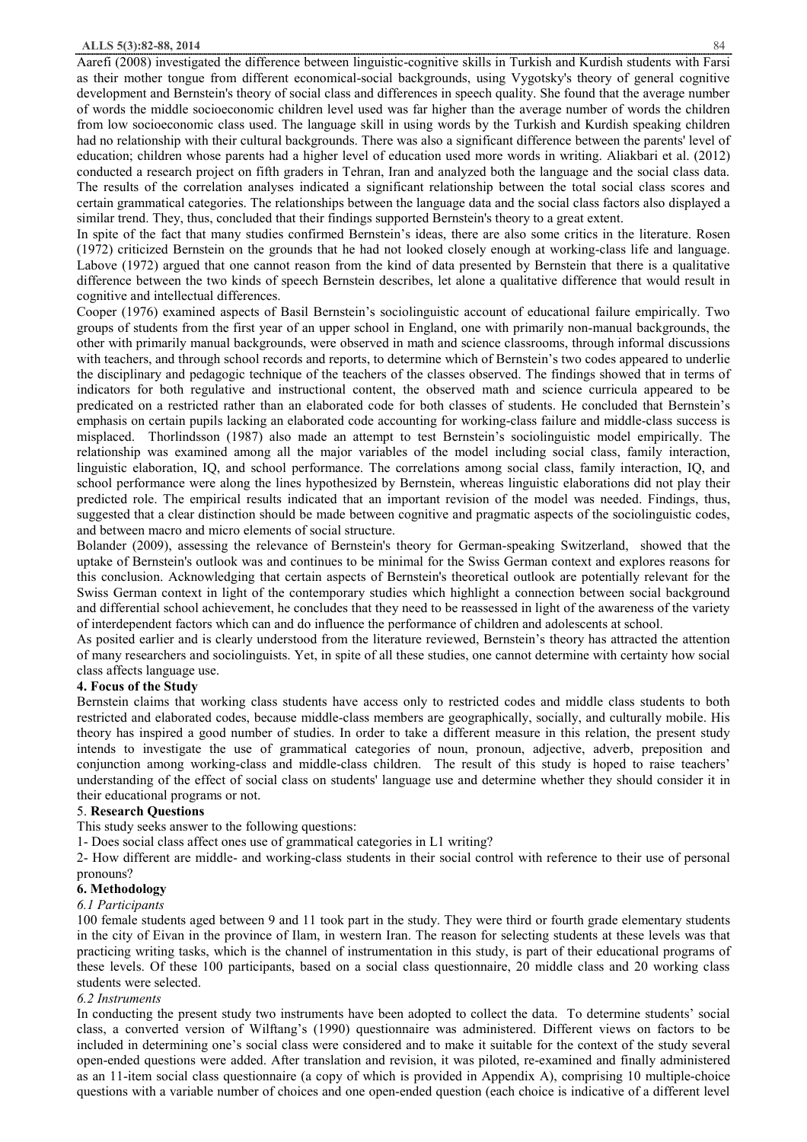Aarefi (2008) investigated the difference between linguistic-cognitive skills in Turkish and Kurdish students with Farsi as their mother tongue from different economical-social backgrounds, using Vygotsky's theory of general cognitive development and Bernstein's theory of social class and differences in speech quality. She found that the average number of words the middle socioeconomic children level used was far higher than the average number of words the children from low socioeconomic class used. The language skill in using words by the Turkish and Kurdish speaking children had no relationship with their cultural backgrounds. There was also a significant difference between the parents' level of education; children whose parents had a higher level of education used more words in writing. Aliakbari et al. (2012) conducted a research project on fifth graders in Tehran, Iran and analyzed both the language and the social class data. The results of the correlation analyses indicated a significant relationship between the total social class scores and certain grammatical categories. The relationships between the language data and the social class factors also displayed a similar trend. They, thus, concluded that their findings supported Bernstein's theory to a great extent.

In spite of the fact that many studies confirmed Bernstein's ideas, there are also some critics in the literature. Rosen (1972) criticized Bernstein on the grounds that he had not looked closely enough at working-class life and language. Labove (1972) argued that one cannot reason from the kind of data presented by Bernstein that there is a qualitative difference between the two kinds of speech Bernstein describes, let alone a qualitative difference that would result in cognitive and intellectual differences.

Cooper (1976) examined aspects of Basil Bernstein's sociolinguistic account of educational failure empirically. Two groups of students from the first year of an upper school in England, one with primarily non-manual backgrounds, the other with primarily manual backgrounds, were observed in math and science classrooms, through informal discussions with teachers, and through school records and reports, to determine which of Bernstein's two codes appeared to underlie the disciplinary and pedagogic technique of the teachers of the classes observed. The findings showed that in terms of indicators for both regulative and instructional content, the observed math and science curricula appeared to be predicated on a restricted rather than an elaborated code for both classes of students. He concluded that Bernstein's emphasis on certain pupils lacking an elaborated code accounting for working-class failure and middle-class success is misplaced. Thorlindsson (1987) also made an attempt to test Bernstein's sociolinguistic model empirically. The relationship was examined among all the major variables of the model including social class, family interaction, linguistic elaboration, IQ, and school performance. The correlations among social class, family interaction, IQ, and school performance were along the lines hypothesized by Bernstein, whereas linguistic elaborations did not play their predicted role. The empirical results indicated that an important revision of the model was needed. Findings, thus, suggested that a clear distinction should be made between cognitive and pragmatic aspects of the sociolinguistic codes, and between macro and micro elements of social structure.

Bolander (2009), assessing the relevance of Bernstein's theory for German-speaking Switzerland, showed that the uptake of Bernstein's outlook was and continues to be minimal for the Swiss German context and explores reasons for this conclusion. Acknowledging that certain aspects of Bernstein's theoretical outlook are potentially relevant for the Swiss German context in light of the contemporary studies which highlight a connection between social background and differential school achievement, he concludes that they need to be reassessed in light of the awareness of the variety of interdependent factors which can and do influence the performance of children and adolescents at school.

As posited earlier and is clearly understood from the literature reviewed, Bernstein's theory has attracted the attention of many researchers and sociolinguists. Yet, in spite of all these studies, one cannot determine with certainty how social class affects language use.

# **4. Focus of the Study**

Bernstein claims that working class students have access only to restricted codes and middle class students to both restricted and elaborated codes, because middle-class members are geographically, socially, and culturally mobile. His theory has inspired a good number of studies. In order to take a different measure in this relation, the present study intends to investigate the use of grammatical categories of noun, pronoun, adjective, adverb, preposition and conjunction among working-class and middle-class children. The result of this study is hoped to raise teachers' understanding of the effect of social class on students' language use and determine whether they should consider it in their educational programs or not.

# 5. **Research Questions**

This study seeks answer to the following questions:

1- Does social class affect ones use of grammatical categories in L1 writing?

2- How different are middle- and working-class students in their social control with reference to their use of personal pronouns?

## **6. Methodology**

#### *6.1 Participants*

100 female students aged between 9 and 11 took part in the study. They were third or fourth grade elementary students in the city of Eivan in the province of Ilam, in western Iran. The reason for selecting students at these levels was that practicing writing tasks, which is the channel of instrumentation in this study, is part of their educational programs of these levels. Of these 100 participants, based on a social class questionnaire, 20 middle class and 20 working class students were selected.

#### *6.2 Instruments*

In conducting the present study two instruments have been adopted to collect the data. To determine students' social class, a converted version of Wilftang's (1990) questionnaire was administered. Different views on factors to be included in determining one's social class were considered and to make it suitable for the context of the study several open-ended questions were added. After translation and revision, it was piloted, re-examined and finally administered as an 11-item social class questionnaire (a copy of which is provided in Appendix A), comprising 10 multiple-choice questions with a variable number of choices and one open-ended question (each choice is indicative of a different level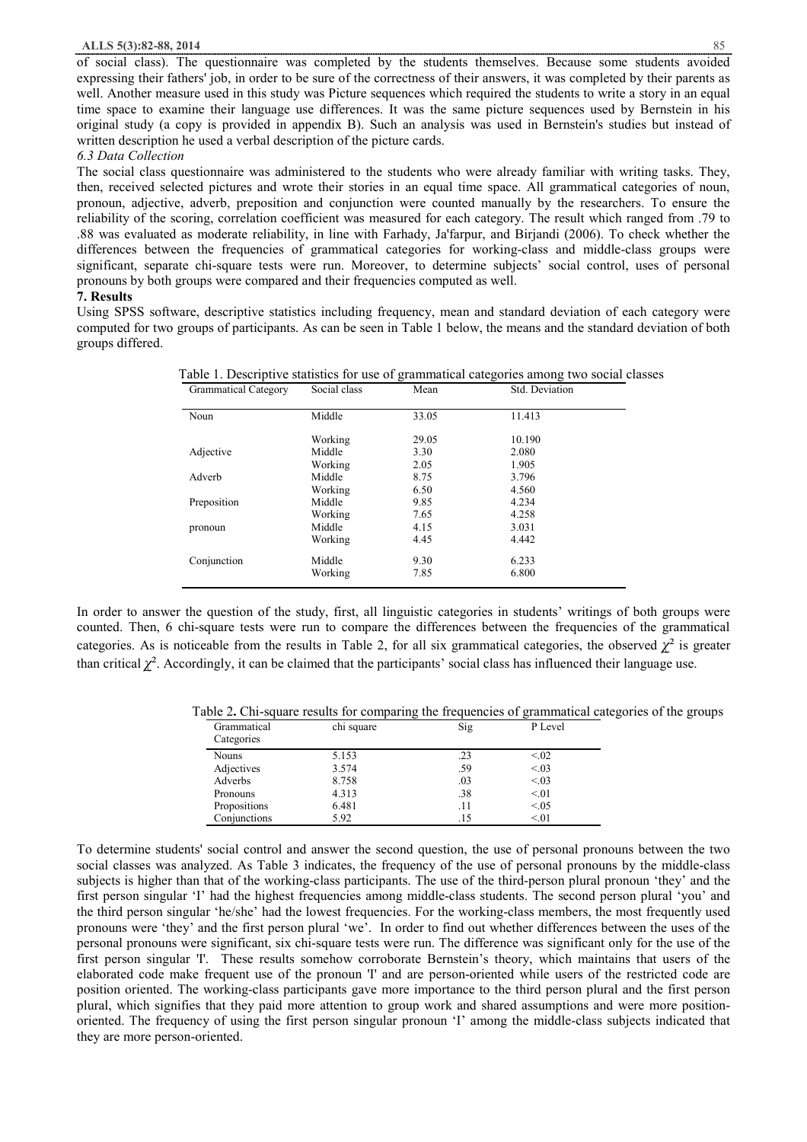of social class). The questionnaire was completed by the students themselves. Because some students avoided expressing their fathers' job, in order to be sure of the correctness of their answers, it was completed by their parents as well. Another measure used in this study was Picture sequences which required the students to write a story in an equal time space to examine their language use differences. It was the same picture sequences used by Bernstein in his original study (a copy is provided in appendix B). Such an analysis was used in Bernstein's studies but instead of written description he used a verbal description of the picture cards.

# *6.3 Data Collection*

The social class questionnaire was administered to the students who were already familiar with writing tasks. They, then, received selected pictures and wrote their stories in an equal time space. All grammatical categories of noun, pronoun, adjective, adverb, preposition and conjunction were counted manually by the researchers. To ensure the reliability of the scoring, correlation coefficient was measured for each category. The result which ranged from .79 to .88 was evaluated as moderate reliability, in line with Farhady, Ja'farpur, and Birjandi (2006). To check whether the differences between the frequencies of grammatical categories for working-class and middle-class groups were significant, separate chi-square tests were run. Moreover, to determine subjects' social control, uses of personal pronouns by both groups were compared and their frequencies computed as well.

## **7. Results**

Using SPSS software, descriptive statistics including frequency, mean and standard deviation of each category were computed for two groups of participants. As can be seen in Table 1 below, the means and the standard deviation of both groups differed.

| <b>Grammatical Category</b> | Social class | Mean  | Std. Deviation |
|-----------------------------|--------------|-------|----------------|
| Noun                        | Middle       | 33.05 | 11.413         |
|                             | Working      | 29.05 | 10.190         |
| Adjective                   | Middle       | 3.30  | 2.080          |
|                             | Working      | 2.05  | 1.905          |
| Adverb                      | Middle       | 8.75  | 3.796          |
|                             | Working      | 6.50  | 4.560          |
| Preposition                 | Middle       | 9.85  | 4.234          |
|                             | Working      | 7.65  | 4.258          |
| pronoun                     | Middle       | 4.15  | 3.031          |
|                             | Working      | 4.45  | 4.442          |
| Conjunction                 | Middle       | 9.30  | 6.233          |
|                             | Working      | 7.85  | 6.800          |

Table 1. Descriptive statistics for use of grammatical categories among two social classes

In order to answer the question of the study, first, all linguistic categories in students' writings of both groups were counted. Then, 6 chi-square tests were run to compare the differences between the frequencies of the grammatical categories. As is noticeable from the results in Table 2, for all six grammatical categories, the observed  $\chi^2$  is greater than critical  $\chi^2$ . Accordingly, it can be claimed that the participants' social class has influenced their language use.

Table 2**.** Chi-square results for comparing the frequencies of grammatical categories of the groups

| Grammatical  | chi square | Sig | P Level |  |
|--------------|------------|-----|---------|--|
| Categories   |            |     |         |  |
| <b>Nouns</b> | 5.153      | .23 | < 0.02  |  |
| Adjectives   | 3.574      | .59 | < 0.03  |  |
| Adverbs      | 8.758      | .03 | < 0.03  |  |
| Pronouns     | 4.313      | .38 | < 01    |  |
| Propositions | 6.481      | .11 | < 0.05  |  |
| Conjunctions | 5.92       | .15 | < 01    |  |

To determine students' social control and answer the second question, the use of personal pronouns between the two social classes was analyzed. As Table 3 indicates, the frequency of the use of personal pronouns by the middle-class subjects is higher than that of the working-class participants. The use of the third-person plural pronoun 'they' and the first person singular 'I' had the highest frequencies among middle-class students. The second person plural 'you' and the third person singular 'he/she' had the lowest frequencies. For the working-class members, the most frequently used pronouns were 'they' and the first person plural 'we'. In order to find out whether differences between the uses of the personal pronouns were significant, six chi-square tests were run. The difference was significant only for the use of the first person singular 'I'. These results somehow corroborate Bernstein's theory, which maintains that users of the elaborated code make frequent use of the pronoun 'I' and are person-oriented while users of the restricted code are position oriented. The working-class participants gave more importance to the third person plural and the first person plural, which signifies that they paid more attention to group work and shared assumptions and were more positionoriented. The frequency of using the first person singular pronoun 'I' among the middle-class subjects indicated that they are more person-oriented.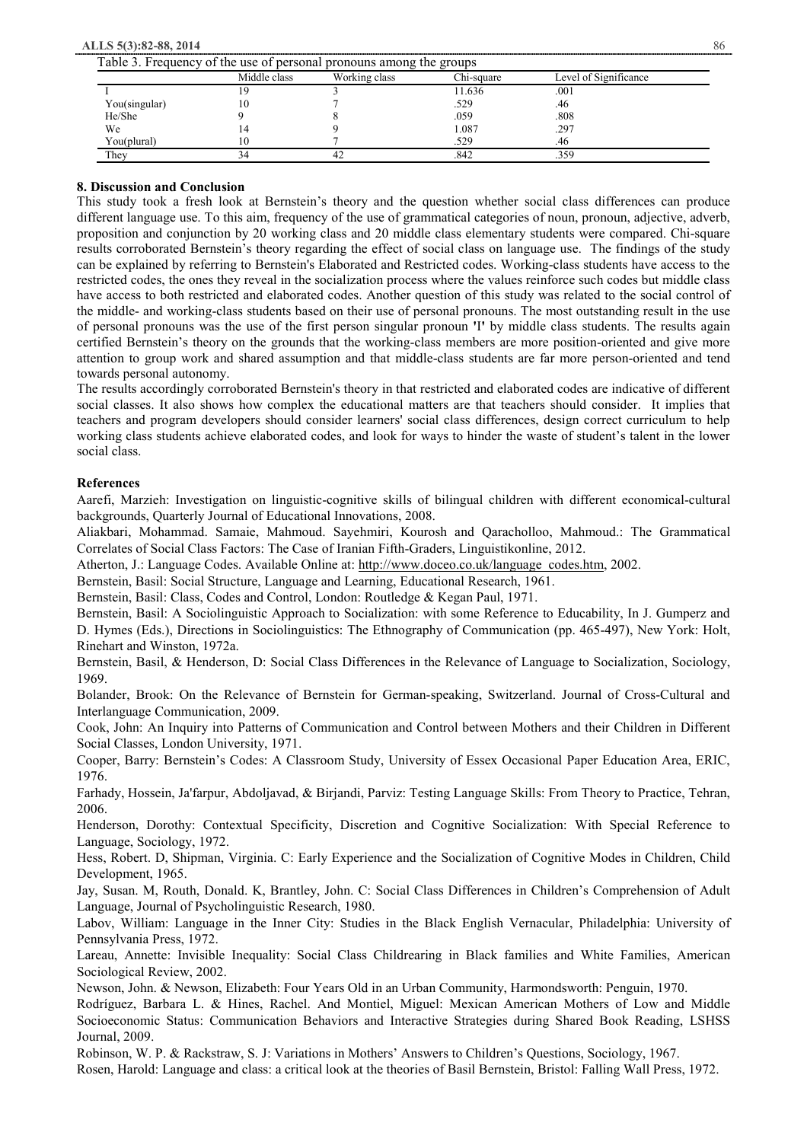**ALLS 5(3):82-88, 2014** 86

|               | Middle class | Working class | Chi-square | Level of Significance |
|---------------|--------------|---------------|------------|-----------------------|
|               |              |               | 11.636     | .001                  |
| You(singular) |              |               | .529       | .46                   |
| He/She        |              |               | .059       | .808                  |
| We            |              |               | 1.087      | .297                  |
| You(plural)   |              |               | .529       | .46                   |
| Thev          |              | 42            | .842       | .359                  |

# **8. Discussion and Conclusion**

This study took a fresh look at Bernstein's theory and the question whether social class differences can produce different language use. To this aim, frequency of the use of grammatical categories of noun, pronoun, adjective, adverb, proposition and conjunction by 20 working class and 20 middle class elementary students were compared. Chi-square results corroborated Bernstein's theory regarding the effect of social class on language use. The findings of the study can be explained by referring to Bernstein's Elaborated and Restricted codes. Working-class students have access to the restricted codes, the ones they reveal in the socialization process where the values reinforce such codes but middle class have access to both restricted and elaborated codes. Another question of this study was related to the social control of the middle- and working-class students based on their use of personal pronouns. The most outstanding result in the use of personal pronouns was the use of the first person singular pronoun **'**I**'** by middle class students. The results again certified Bernstein's theory on the grounds that the working-class members are more position-oriented and give more attention to group work and shared assumption and that middle-class students are far more person-oriented and tend towards personal autonomy.

The results accordingly corroborated Bernstein's theory in that restricted and elaborated codes are indicative of different social classes. It also shows how complex the educational matters are that teachers should consider. It implies that teachers and program developers should consider learners' social class differences, design correct curriculum to help working class students achieve elaborated codes, and look for ways to hinder the waste of student's talent in the lower social class.

# **References**

Aarefi, Marzieh: Investigation on linguistic-cognitive skills of bilingual children with different economical-cultural backgrounds, Quarterly Journal of Educational Innovations, 2008.

Aliakbari, Mohammad. Samaie, Mahmoud. Sayehmiri, Kourosh and Qaracholloo, Mahmoud.: The Grammatical Correlates of Social Class Factors: The Case of Iranian Fifth-Graders, Linguistikonline, 2012.

Atherton, J.: Language Codes. Available Online at: http://www.doceo.co.uk/language\_codes.htm, 2002.

Bernstein, Basil: Social Structure, Language and Learning, Educational Research, 1961.

Bernstein, Basil: Class, Codes and Control, London: Routledge & Kegan Paul, 1971.

Bernstein, Basil: A Sociolinguistic Approach to Socialization: with some Reference to Educability, In J. Gumperz and D. Hymes (Eds.), Directions in Sociolinguistics: The Ethnography of Communication (pp. 465-497), New York: Holt, Rinehart and Winston, 1972a.

Bernstein, Basil, & Henderson, D: Social Class Differences in the Relevance of Language to Socialization, Sociology, 1969.

Bolander, Brook: On the Relevance of Bernstein for German-speaking, Switzerland. Journal of Cross-Cultural and Interlanguage Communication, 2009.

Cook, John: An Inquiry into Patterns of Communication and Control between Mothers and their Children in Different Social Classes, London University, 1971.

Cooper, Barry: Bernstein's Codes: A Classroom Study, University of Essex Occasional Paper Education Area, ERIC, 1976.

Farhady, Hossein, Ja'farpur, Abdoljavad, & Birjandi, Parviz: Testing Language Skills: From Theory to Practice, Tehran, 2006.

Henderson, Dorothy: Contextual Specificity, Discretion and Cognitive Socialization: With Special Reference to Language, Sociology, 1972.

Hess, Robert. D, Shipman, Virginia. C: Early Experience and the Socialization of Cognitive Modes in Children, Child Development, 1965.

Jay, Susan. M, Routh, Donald. K, Brantley, John. C: Social Class Differences in Children's Comprehension of Adult Language, Journal of Psycholinguistic Research, 1980.

Labov, William: Language in the Inner City: Studies in the Black English Vernacular, Philadelphia: University of Pennsylvania Press, 1972.

Lareau, Annette: Invisible Inequality: Social Class Childrearing in Black families and White Families, American Sociological Review, 2002.

Newson, John. & Newson, Elizabeth: Four Years Old in an Urban Community, Harmondsworth: Penguin, 1970.

Rodríguez, Barbara L. & Hines, Rachel. And Montiel, Miguel: Mexican American Mothers of Low and Middle Socioeconomic Status: Communication Behaviors and Interactive Strategies during Shared Book Reading, LSHSS Journal, 2009.

Robinson, W. P. & Rackstraw, S. J: Variations in Mothers' Answers to Children's Questions, Sociology, 1967.

Rosen, Harold: Language and class: a critical look at the theories of Basil Bernstein, Bristol: Falling Wall Press, 1972.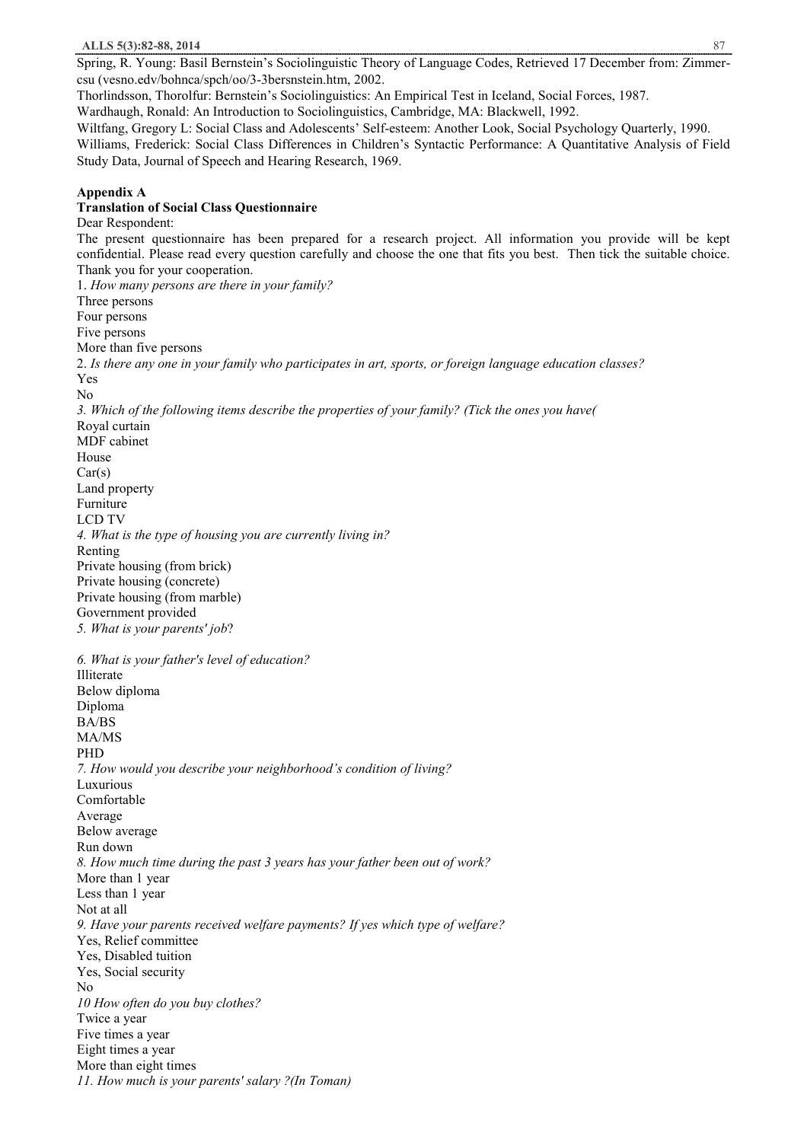Spring, R. Young: Basil Bernstein's Sociolinguistic Theory of Language Codes, Retrieved 17 December from: Zimmercsu (vesno.edv/bohnca/spch/oo/3-3bersnstein.htm, 2002.

Thorlindsson, Thorolfur: Bernstein's Sociolinguistics: An Empirical Test in Iceland, Social Forces, 1987. Wardhaugh, Ronald: An Introduction to Sociolinguistics, Cambridge, MA: Blackwell, 1992.

Wiltfang, Gregory L: Social Class and Adolescents' Self-esteem: Another Look, Social Psychology Quarterly, 1990. Williams, Frederick: Social Class Differences in Children's Syntactic Performance: A Quantitative Analysis of Field Study Data, Journal of Speech and Hearing Research, 1969.

# **Appendix A**

# **Translation of Social Class Questionnaire**

Dear Respondent: The present questionnaire has been prepared for a research project. All information you provide will be kept confidential. Please read every question carefully and choose the one that fits you best. Then tick the suitable choice. Thank you for your cooperation. 1. *How many persons are there in your family?* Three persons Four persons Five persons More than five persons 2. *Is there any one in your family who participates in art, sports, or foreign language education classes?* Yes No *3. Which of the following items describe the properties of your family? (Tick the ones you have(* Royal curtain MDF cabinet House  $Car(s)$ Land property Furniture LCD TV *4. What is the type of housing you are currently living in?* Renting Private housing (from brick) Private housing (concrete) Private housing (from marble) Government provided *5. What is your parents' job*? *6. What is your father's level of education?* Illiterate Below diploma Diploma BA/BS MA/MS PHD *7. How would you describe your neighborhood's condition of living?* Luxurious Comfortable Average Below average Run down *8. How much time during the past 3 years has your father been out of work?* More than 1 year Less than 1 year Not at all *9. Have your parents received welfare payments? If yes which type of welfare?* Yes, Relief committee Yes, Disabled tuition Yes, Social security No *10 How often do you buy clothes?* Twice a year Five times a year Eight times a year More than eight times *11. How much is your parents' salary ?(In Toman)*